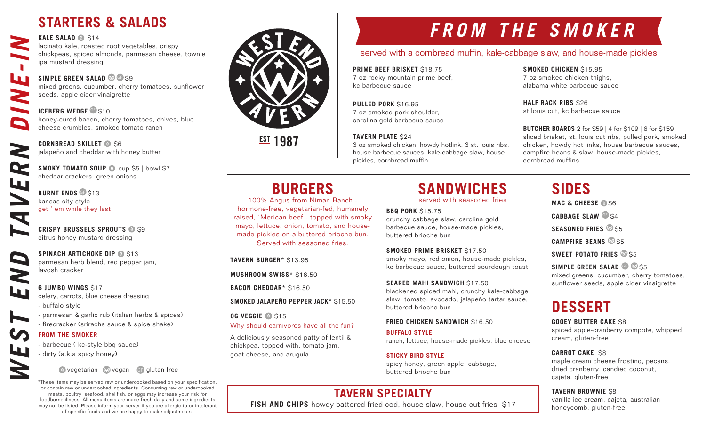## **STARTERS & SALADS**

#### **KALE SALAD @ S14**

L.

R

W

9

W

lacinato kale, roasted root vegetables, crispy chickpeas, spiced almonds, parmesan cheese, townie ipa mustard dressing

### **SIMPLE GREEN SALAD G** S9

mixed greens, cucumber, cherry tomatoes, sunflower seeds, apple cider vinaigrette

#### **ICEBERG WEDGE** G \$10

honey-cured bacon, cherry tomatoes, chives, blue cheese crumbles, smoked tomato ranch

#### **CORNBREAD SKILLET @ S6** jalapeño and cheddar with honey butter

**SMOKY TOMATO SOUP @ cup \$5 | bowl \$7** cheddar crackers, green onions

WEST END TAVERN DINE-IN **BURNT ENDS G** \$13 kansas city style get ' em while they last

**CRISPY BRUSSELS SPROUTS @ \$9** citrus honey mustard dressing

**SPINACH ARTICHOKE DIP @ \$13** parmesan herb blend, red pepper jam, lavosh cracker

### **6 JUMBO WINGS** \$17 celery, carrots, blue cheese dressing

- buffalo style
- parmesan & garlic rub (italian herbs & spices)
- firecracker (sriracha sauce & spice shake)

### **FROM THE SMOKER**

- barbecue ( kc-style bbq sauce)
- dirty (a.k.a spicy honey)

### vegetarian vegan GF gluten free

\*These items may be served raw or undercooked based on your specification, or contain raw or undercooked ingredients. Consuming raw or undercooked meats, poultry, seafood, shellfish, or eggs may increase your risk for foodborne illness. All menu items are made fresh daily and some ingredients may not be listed. Please inform your server if you are allergic to or intolerant of specific foods and we are happy to make adjustments.

# served with a cornbread muffin, kale-cabbage slaw, and house-made pickles **FROM THE SMOKER**

**PRIME BEEF BRISKET** \$18.75

7 oz rocky mountain prime beef, kc barbecue sauce

**PULLED PORK** \$16.95 7 oz smoked pork shoulder, carolina gold barbecue sauce

### **TAVERN PLATE** \$24

3 oz smoked chicken, howdy hotlink, 3 st. louis ribs, house barbecue sauces, kale-cabbage slaw, house pickles, cornbread muffin

## **SMOKED CHICKEN** \$15.95

7 oz smoked chicken thighs, alabama white barbecue sauce

**HALF RACK RIBS** \$26 st.louis cut, kc barbecue sauce

**BUTCHER BOARDS** 2 for \$59 | 4 for \$109 | 6 for \$159 sliced brisket, st. louis cut ribs, pulled pork, smoked chicken, howdy hot links, house barbecue sauces, campfire beans & slaw, house-made pickles, cornbread muffins

served with seasoned fries

**BBQ PORK** \$15.75 crunchy cabbage slaw, carolina gold barbecue sauce, house-made pickles, buttered brioche bun

**SMOKED PRIME BRISKET** \$17.50 smoky mayo, red onion, house-made pickles, kc barbecue sauce, buttered sourdough toast

**SEARED MAHI SANDWICH** \$17.50 blackened spiced mahi, crunchy kale-cabbage slaw, tomato, avocado, jalapeño tartar sauce,

### **FRIED CHICKEN SANDWICH \$16.50**

buttered brioche bun

**BUFFALO STYLE** ranch, lettuce, house-made pickles, blue cheese

**STICKY BIRD STYLE** spicy honey, green apple, cabbage, buttered brioche bun

## **TAVERN SPECIALTY**

**FISH AND CHIPS** howdy battered fried cod, house slaw, house cut fries \$17

## **SANDWICHES**

**CABBAGE SLAW** GF \$4 **SEASONED FRIES** \$5

**MAC & CHEESE @ S6** 

**SIDES**

**CAMPFIRE BEANS** \$5

**SWEET POTATO FRIES 85** 

**SIMPLE GREEN SALAD GP \$55** mixed greens, cucumber, cherry tomatoes, sunflower seeds, apple cider vinaigrette

## **DESSERT**

**GOOEY BUTTER CAKE** \$8

spiced apple-cranberry compote, whipped cream, gluten-free

### **CARROT CAKE** \$8

maple cream cheese frosting, pecans, dried cranberry, candied coconut, cajeta, gluten-free

### **TAVERN BROWNIE** \$8

vanilla ice cream, cajeta, australian honeycomb, gluten-free



**EST 1987** 

**TAVERN BURGER\*** \$13.95

**MUSHROOM SWISS\*** \$16.50

**SMOKED JALAPEÑO PEPPER JACK\*** \$15.50

Why should carnivores have all the fun? A deliciously seasoned patty of lentil & chickpea, topped with, tomato jam,

**BACON CHEDDAR\*** \$16.50

goat cheese, and arugula

**OG VEGGIE @ \$15** 

**BURGERS** 100% Angus from Niman Ranch hormone-free, vegetarian-fed, humanely raised, 'Merican beef - topped with smoky mayo, lettuce, onion, tomato, and housemade pickles on a buttered brioche bun. Served with seasoned fries.